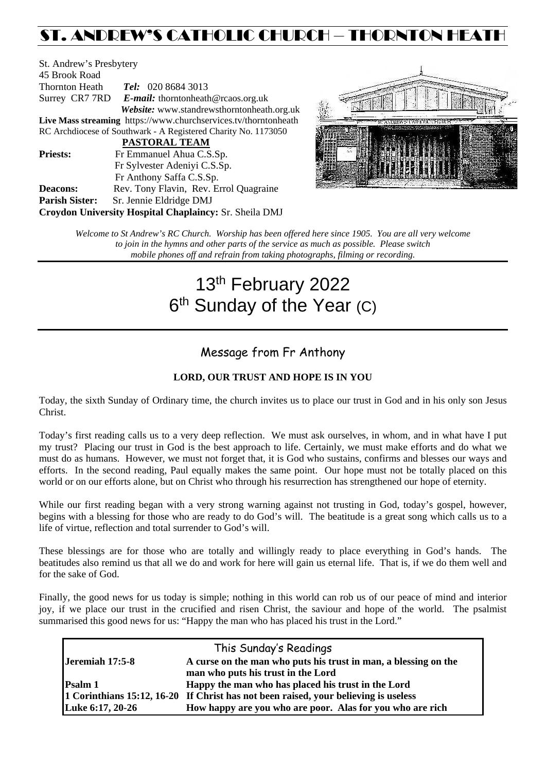# ST. ANDREW'S CATHOLIC CHURCH – THORNTON HEATH

St. Andrew's Presbytery 45 Brook Road Thornton Heath *Tel:* 020 8684 3013 Surrey CR7 7RD *E-mail:* [thorntonheath@rcaos.org.uk](mailto:thorntonheath@rcaos.org.uk) *Website:* www.standrewsthorntonheath.org.uk **Live Mass streaming** <https://www.churchservices.tv/thorntonheath> RC Archdiocese of Southwark - A Registered Charity No. 1173050  **PASTORAL TEAM Priests:** Fr Emmanuel Ahua C.S.Sp. Fr Sylvester Adeniyi C.S.Sp. Fr Anthony Saffa C.S.Sp. **Deacons:** Rev. Tony Flavin, Rev. Errol Quagraine **Parish Sister:** Sr. Jennie Eldridge DMJ **Croydon University Hospital Chaplaincy:** Sr. Sheila DMJ



*Welcome to St Andrew's RC Church. Worship has been offered here since 1905. You are all very welcome to join in the hymns and other parts of the service as much as possible. Please switch mobile phones off and refrain from taking photographs, filming or recording.*

# 13<sup>th</sup> February 2022 6<sup>th</sup> Sunday of the Year (C)

## Message from Fr Anthony

#### **LORD, OUR TRUST AND HOPE IS IN YOU**

Today, the sixth Sunday of Ordinary time, the church invites us to place our trust in God and in his only son Jesus Christ.

Today's first reading calls us to a very deep reflection. We must ask ourselves, in whom, and in what have I put my trust? Placing our trust in God is the best approach to life. Certainly, we must make efforts and do what we must do as humans. However, we must not forget that, it is God who sustains, confirms and blesses our ways and efforts. In the second reading, Paul equally makes the same point. Our hope must not be totally placed on this world or on our efforts alone, but on Christ who through his resurrection has strengthened our hope of eternity.

While our first reading began with a very strong warning against not trusting in God, today's gospel, however, begins with a blessing for those who are ready to do God's will. The beatitude is a great song which calls us to a life of virtue, reflection and total surrender to God's will.

These blessings are for those who are totally and willingly ready to place everything in God's hands. The beatitudes also remind us that all we do and work for here will gain us eternal life. That is, if we do them well and for the sake of God.

Finally, the good news for us today is simple; nothing in this world can rob us of our peace of mind and interior joy, if we place our trust in the crucified and risen Christ, the saviour and hope of the world. The psalmist summarised this good news for us: "Happy the man who has placed his trust in the Lord."

| This Sunday's Readings |                                                                                     |  |  |  |
|------------------------|-------------------------------------------------------------------------------------|--|--|--|
| Jeremiah 17:5-8        | A curse on the man who puts his trust in man, a blessing on the                     |  |  |  |
|                        | man who puts his trust in the Lord                                                  |  |  |  |
| Psalm 1                | Happy the man who has placed his trust in the Lord                                  |  |  |  |
|                        | 1 Corinthians 15:12, 16-20 If Christ has not been raised, your believing is useless |  |  |  |
| Luke 6:17, 20-26       | How happy are you who are poor. Alas for you who are rich                           |  |  |  |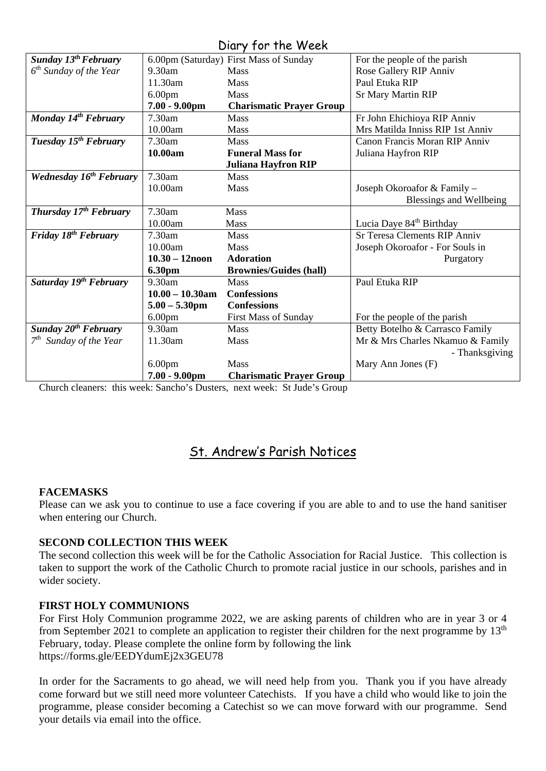### Diary for the Week

| $U$ $U$ $V$ $V$ $V$ $V$ $V$ $V$ $V$ $V$ $V$ $V$ $V$ $V$ |                    |                                        |                                      |  |
|---------------------------------------------------------|--------------------|----------------------------------------|--------------------------------------|--|
| <b>Sunday 13th February</b>                             |                    | 6.00pm (Saturday) First Mass of Sunday | For the people of the parish         |  |
| $6th$ Sunday of the Year                                | 9.30am             | <b>Mass</b>                            | Rose Gallery RIP Anniv               |  |
|                                                         | 11.30am            | <b>Mass</b>                            | Paul Etuka RIP                       |  |
|                                                         | 6.00 <sub>pm</sub> | <b>Mass</b>                            | Sr Mary Martin RIP                   |  |
|                                                         | $7.00 - 9.00$ pm   | <b>Charismatic Prayer Group</b>        |                                      |  |
| Monday 14th February                                    | 7.30am             | <b>Mass</b>                            | Fr John Ehichioya RIP Anniv          |  |
|                                                         | 10.00am            | <b>Mass</b>                            | Mrs Matilda Inniss RIP 1st Anniv     |  |
| Tuesday 15 <sup>th</sup> February                       | 7.30am             | <b>Mass</b>                            | Canon Francis Moran RIP Anniv        |  |
|                                                         | 10.00am            | <b>Funeral Mass for</b>                | Juliana Hayfron RIP                  |  |
|                                                         |                    | <b>Juliana Hayfron RIP</b>             |                                      |  |
| Wednesday 16 <sup>th</sup> February                     | 7.30am             | <b>Mass</b>                            |                                      |  |
|                                                         | 10.00am            | <b>Mass</b>                            | Joseph Okoroafor & Family -          |  |
|                                                         |                    |                                        | <b>Blessings and Wellbeing</b>       |  |
| Thursday 17th February                                  | 7.30am             | Mass                                   |                                      |  |
|                                                         | 10.00am            | <b>Mass</b>                            | Lucia Daye 84 <sup>th</sup> Birthday |  |
| Friday 18 <sup>th</sup> February                        | 7.30am             | <b>Mass</b>                            | <b>Sr Teresa Clements RIP Anniv</b>  |  |
|                                                         | 10.00am            | <b>Mass</b>                            | Joseph Okoroafor - For Souls in      |  |
|                                                         | $10.30 - 12$ noon  | <b>Adoration</b>                       | Purgatory                            |  |
|                                                         | 6.30pm             | <b>Brownies/Guides (hall)</b>          |                                      |  |
| Saturday 19th February                                  | 9.30am             | <b>Mass</b>                            | Paul Etuka RIP                       |  |
|                                                         | $10.00 - 10.30$ am | <b>Confessions</b>                     |                                      |  |
|                                                         | $5.00 - 5.30$ pm   | <b>Confessions</b>                     |                                      |  |
|                                                         | 6.00 <sub>pm</sub> | <b>First Mass of Sunday</b>            | For the people of the parish         |  |
| <b>Sunday 20<sup>th</sup> February</b>                  | 9.30am             | <b>Mass</b>                            | Betty Botelho & Carrasco Family      |  |
| $7th$ Sunday of the Year                                | 11.30am            | <b>Mass</b>                            | Mr & Mrs Charles Nkamuo & Family     |  |
|                                                         |                    |                                        | - Thanksgiving                       |  |
|                                                         | 6.00 <sub>pm</sub> | <b>Mass</b>                            | Mary Ann Jones (F)                   |  |
|                                                         | $7.00 - 9.00$ pm   | <b>Charismatic Prayer Group</b>        |                                      |  |

Church cleaners: this week: Sancho's Dusters, next week: St Jude's Group

## St. Andrew's Parish Notices

#### **FACEMASKS**

Please can we ask you to continue to use a face covering if you are able to and to use the hand sanitiser when entering our Church.

#### **SECOND COLLECTION THIS WEEK**

The second collection this week will be for the Catholic Association for Racial Justice. This collection is taken to support the work of the Catholic Church to promote racial justice in our schools, parishes and in wider society.

#### **FIRST HOLY COMMUNIONS**

For First Holy Communion programme 2022, we are asking parents of children who are in year 3 or 4 from September 2021 to complete an application to register their children for the next programme by 13<sup>th</sup> February, today. Please complete the online form by following the link <https://forms.gle/EEDYdumEj2x3GEU78>

In order for the Sacraments to go ahead, we will need help from you. Thank you if you have already come forward but we still need more volunteer Catechists. If you have a child who would like to join the programme, please consider becoming a Catechist so we can move forward with our programme. Send your details via email into the office.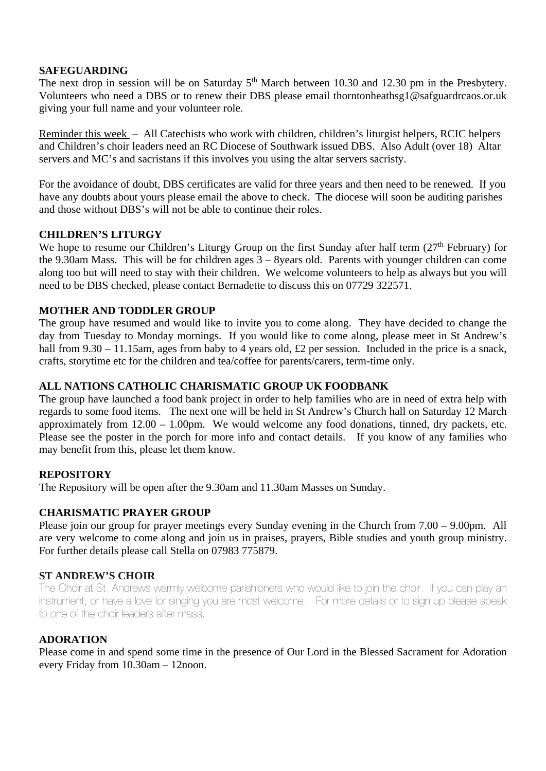#### **SAFEGUARDING**

The next drop in session will be on Saturday 5<sup>th</sup> March between 10.30 and 12.30 pm in the Presbytery. Volunteers who need a DBS or to renew their DBS please email [thorntonheathsg1@safguardrcaos.or.uk](mailto:thorntonheathsg1@safguardrcaos.or.uk) giving your full name and your volunteer role.

Reminder this week – All Catechists who work with children, children's liturgist helpers, RCIC helpers and Children's choir leaders need an RC Diocese of Southwark issued DBS. Also Adult (over 18) Altar servers and MC's and sacristans if this involves you using the altar servers sacristy.

For the avoidance of doubt, DBS certificates are valid for three years and then need to be renewed. If you have any doubts about yours please email the above to check. The diocese will soon be auditing parishes and those without DBS's will not be able to continue their roles.

#### **CHILDREN'S LITURGY**

We hope to resume our Children's Liturgy Group on the first Sunday after half term (27<sup>th</sup> February) for the 9.30am Mass. This will be for children ages 3 – 8years old. Parents with younger children can come along too but will need to stay with their children. We welcome volunteers to help as always but you will need to be DBS checked, please contact Bernadette to discuss this on 07729 322571.

#### **MOTHER AND TODDLER GROUP**

The group have resumed and would like to invite you to come along. They have decided to change the day from Tuesday to Monday mornings. If you would like to come along, please meet in St Andrew's hall from 9.30 – 11.15am, ages from baby to 4 years old, £2 per session. Included in the price is a snack, crafts, storytime etc for the children and tea/coffee for parents/carers, term-time only.

#### **ALL NATIONS CATHOLIC CHARISMATIC GROUP UK FOODBANK**

The group have launched a food bank project in order to help families who are in need of extra help with regards to some food items. The next one will be held in St Andrew's Church hall on Saturday 12 March approximately from 12.00 – 1.00pm. We would welcome any food donations, tinned, dry packets, etc. Please see the poster in the porch for more info and contact details. If you know of any families who may benefit from this, please let them know.

#### **REPOSITORY**

The Repository will be open after the 9.30am and 11.30am Masses on Sunday.

#### **CHARISMATIC PRAYER GROUP**

Please join our group for prayer meetings every Sunday evening in the Church from 7.00 – 9.00pm. All are very welcome to come along and join us in praises, prayers, Bible studies and youth group ministry. For further details please call Stella on 07983 775879.

#### **ST ANDREW'S CHOIR**

The Choir at St. Andrews warmly welcome parishioners who would like to join the choir. If you can play an instrument, or have a love for singing you are most welcome. For more details or to sign up please speak to one of the choir leaders after mass.

#### **ADORATION**

Please come in and spend some time in the presence of Our Lord in the Blessed Sacrament for Adoration every Friday from 10.30am – 12noon.